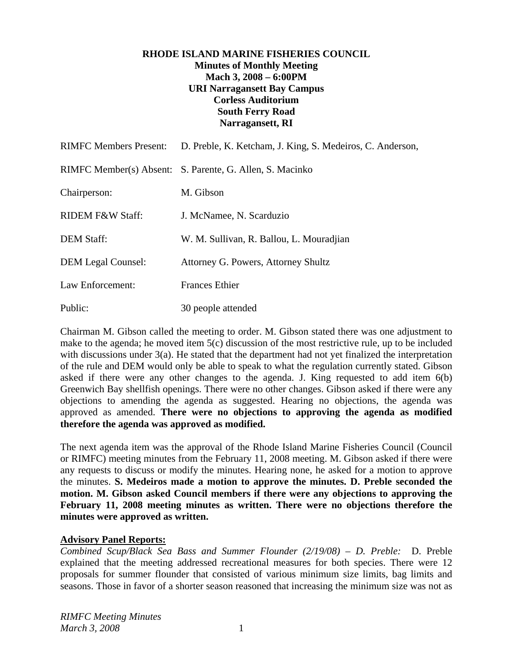## **RHODE ISLAND MARINE FISHERIES COUNCIL Minutes of Monthly Meeting Mach 3, 2008 – 6:00PM URI Narragansett Bay Campus Corless Auditorium South Ferry Road Narragansett, RI**

| <b>RIMFC Members Present:</b> | D. Preble, K. Ketcham, J. King, S. Medeiros, C. Anderson, |
|-------------------------------|-----------------------------------------------------------|
|                               | RIMFC Member(s) Absent: S. Parente, G. Allen, S. Macinko  |
| Chairperson:                  | M. Gibson                                                 |
| <b>RIDEM F&amp;W Staff:</b>   | J. McNamee, N. Scarduzio                                  |
| <b>DEM Staff:</b>             | W. M. Sullivan, R. Ballou, L. Mouradjian                  |
| <b>DEM Legal Counsel:</b>     | Attorney G. Powers, Attorney Shultz                       |
| Law Enforcement:              | <b>Frances Ethier</b>                                     |
| Public:                       | 30 people attended                                        |

Chairman M. Gibson called the meeting to order. M. Gibson stated there was one adjustment to make to the agenda; he moved item 5(c) discussion of the most restrictive rule, up to be included with discussions under 3(a). He stated that the department had not yet finalized the interpretation of the rule and DEM would only be able to speak to what the regulation currently stated. Gibson asked if there were any other changes to the agenda. J. King requested to add item 6(b) Greenwich Bay shellfish openings. There were no other changes. Gibson asked if there were any objections to amending the agenda as suggested. Hearing no objections, the agenda was approved as amended. **There were no objections to approving the agenda as modified therefore the agenda was approved as modified.**

The next agenda item was the approval of the Rhode Island Marine Fisheries Council (Council or RIMFC) meeting minutes from the February 11, 2008 meeting. M. Gibson asked if there were any requests to discuss or modify the minutes. Hearing none, he asked for a motion to approve the minutes. **S. Medeiros made a motion to approve the minutes. D. Preble seconded the motion. M. Gibson asked Council members if there were any objections to approving the February 11, 2008 meeting minutes as written. There were no objections therefore the minutes were approved as written.**

#### **Advisory Panel Reports:**

*Combined Scup/Black Sea Bass and Summer Flounder (2/19/08) – D. Preble:* D. Preble explained that the meeting addressed recreational measures for both species. There were 12 proposals for summer flounder that consisted of various minimum size limits, bag limits and seasons. Those in favor of a shorter season reasoned that increasing the minimum size was not as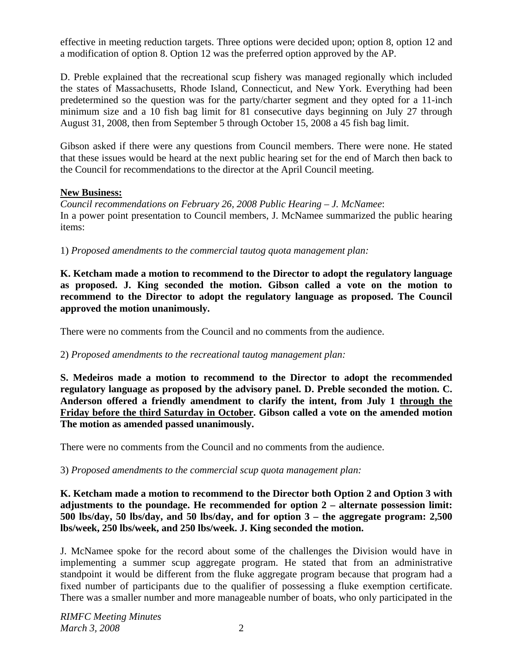effective in meeting reduction targets. Three options were decided upon; option 8, option 12 and a modification of option 8. Option 12 was the preferred option approved by the AP.

D. Preble explained that the recreational scup fishery was managed regionally which included the states of Massachusetts, Rhode Island, Connecticut, and New York. Everything had been predetermined so the question was for the party/charter segment and they opted for a 11-inch minimum size and a 10 fish bag limit for 81 consecutive days beginning on July 27 through August 31, 2008, then from September 5 through October 15, 2008 a 45 fish bag limit.

Gibson asked if there were any questions from Council members. There were none. He stated that these issues would be heard at the next public hearing set for the end of March then back to the Council for recommendations to the director at the April Council meeting.

# **New Business:**

*Council recommendations on February 26, 2008 Public Hearing – J. McNamee*: In a power point presentation to Council members, J. McNamee summarized the public hearing items:

1) *Proposed amendments to the commercial tautog quota management plan:*

**K. Ketcham made a motion to recommend to the Director to adopt the regulatory language as proposed. J. King seconded the motion. Gibson called a vote on the motion to recommend to the Director to adopt the regulatory language as proposed. The Council approved the motion unanimously.**

There were no comments from the Council and no comments from the audience.

# 2) *Proposed amendments to the recreational tautog management plan:*

**S. Medeiros made a motion to recommend to the Director to adopt the recommended regulatory language as proposed by the advisory panel. D. Preble seconded the motion. C. Anderson offered a friendly amendment to clarify the intent, from July 1 through the Friday before the third Saturday in October. Gibson called a vote on the amended motion The motion as amended passed unanimously.** 

There were no comments from the Council and no comments from the audience.

# 3) *Proposed amendments to the commercial scup quota management plan:*

# **K. Ketcham made a motion to recommend to the Director both Option 2 and Option 3 with adjustments to the poundage. He recommended for option 2 – alternate possession limit: 500 lbs/day, 50 lbs/day, and 50 lbs/day, and for option 3 – the aggregate program: 2,500 lbs/week, 250 lbs/week, and 250 lbs/week. J. King seconded the motion.**

J. McNamee spoke for the record about some of the challenges the Division would have in implementing a summer scup aggregate program. He stated that from an administrative standpoint it would be different from the fluke aggregate program because that program had a fixed number of participants due to the qualifier of possessing a fluke exemption certificate. There was a smaller number and more manageable number of boats, who only participated in the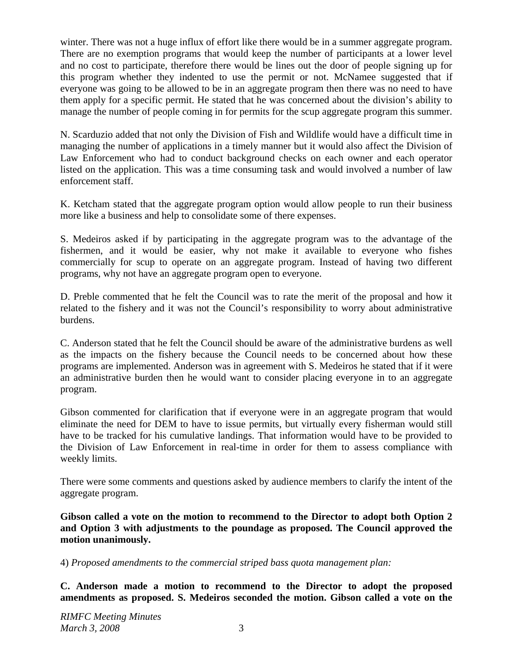winter. There was not a huge influx of effort like there would be in a summer aggregate program. There are no exemption programs that would keep the number of participants at a lower level and no cost to participate, therefore there would be lines out the door of people signing up for this program whether they indented to use the permit or not. McNamee suggested that if everyone was going to be allowed to be in an aggregate program then there was no need to have them apply for a specific permit. He stated that he was concerned about the division's ability to manage the number of people coming in for permits for the scup aggregate program this summer.

N. Scarduzio added that not only the Division of Fish and Wildlife would have a difficult time in managing the number of applications in a timely manner but it would also affect the Division of Law Enforcement who had to conduct background checks on each owner and each operator listed on the application. This was a time consuming task and would involved a number of law enforcement staff.

K. Ketcham stated that the aggregate program option would allow people to run their business more like a business and help to consolidate some of there expenses.

S. Medeiros asked if by participating in the aggregate program was to the advantage of the fishermen, and it would be easier, why not make it available to everyone who fishes commercially for scup to operate on an aggregate program. Instead of having two different programs, why not have an aggregate program open to everyone.

D. Preble commented that he felt the Council was to rate the merit of the proposal and how it related to the fishery and it was not the Council's responsibility to worry about administrative burdens.

C. Anderson stated that he felt the Council should be aware of the administrative burdens as well as the impacts on the fishery because the Council needs to be concerned about how these programs are implemented. Anderson was in agreement with S. Medeiros he stated that if it were an administrative burden then he would want to consider placing everyone in to an aggregate program.

Gibson commented for clarification that if everyone were in an aggregate program that would eliminate the need for DEM to have to issue permits, but virtually every fisherman would still have to be tracked for his cumulative landings. That information would have to be provided to the Division of Law Enforcement in real-time in order for them to assess compliance with weekly limits.

There were some comments and questions asked by audience members to clarify the intent of the aggregate program.

**Gibson called a vote on the motion to recommend to the Director to adopt both Option 2 and Option 3 with adjustments to the poundage as proposed. The Council approved the motion unanimously.**

4) *Proposed amendments to the commercial striped bass quota management plan:*

**C. Anderson made a motion to recommend to the Director to adopt the proposed amendments as proposed. S. Medeiros seconded the motion. Gibson called a vote on the**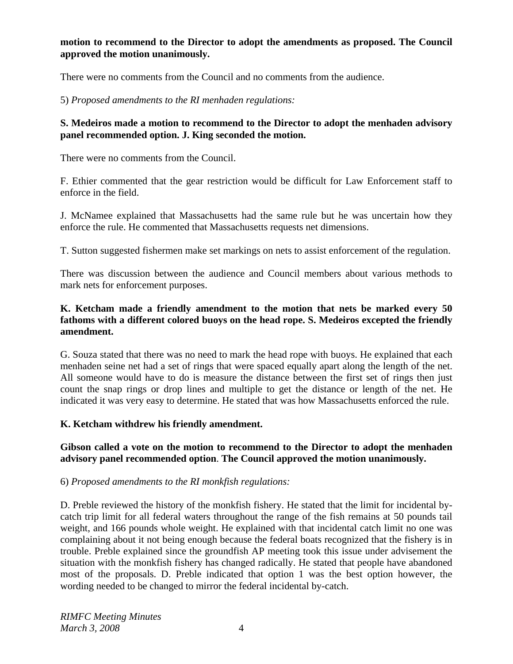# **motion to recommend to the Director to adopt the amendments as proposed. The Council approved the motion unanimously.**

There were no comments from the Council and no comments from the audience.

5) *Proposed amendments to the RI menhaden regulations:*

# **S. Medeiros made a motion to recommend to the Director to adopt the menhaden advisory panel recommended option. J. King seconded the motion.**

There were no comments from the Council.

F. Ethier commented that the gear restriction would be difficult for Law Enforcement staff to enforce in the field.

J. McNamee explained that Massachusetts had the same rule but he was uncertain how they enforce the rule. He commented that Massachusetts requests net dimensions.

T. Sutton suggested fishermen make set markings on nets to assist enforcement of the regulation.

There was discussion between the audience and Council members about various methods to mark nets for enforcement purposes.

## **K. Ketcham made a friendly amendment to the motion that nets be marked every 50 fathoms with a different colored buoys on the head rope. S. Medeiros excepted the friendly amendment.**

G. Souza stated that there was no need to mark the head rope with buoys. He explained that each menhaden seine net had a set of rings that were spaced equally apart along the length of the net. All someone would have to do is measure the distance between the first set of rings then just count the snap rings or drop lines and multiple to get the distance or length of the net. He indicated it was very easy to determine. He stated that was how Massachusetts enforced the rule.

#### **K. Ketcham withdrew his friendly amendment.**

**Gibson called a vote on the motion to recommend to the Director to adopt the menhaden advisory panel recommended option**. **The Council approved the motion unanimously.**

#### 6) *Proposed amendments to the RI monkfish regulations:*

D. Preble reviewed the history of the monkfish fishery. He stated that the limit for incidental bycatch trip limit for all federal waters throughout the range of the fish remains at 50 pounds tail weight, and 166 pounds whole weight. He explained with that incidental catch limit no one was complaining about it not being enough because the federal boats recognized that the fishery is in trouble. Preble explained since the groundfish AP meeting took this issue under advisement the situation with the monkfish fishery has changed radically. He stated that people have abandoned most of the proposals. D. Preble indicated that option 1 was the best option however, the wording needed to be changed to mirror the federal incidental by-catch.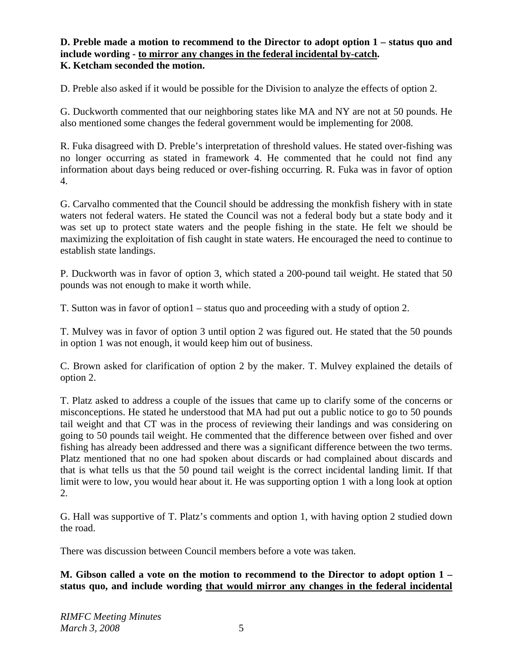## **D. Preble made a motion to recommend to the Director to adopt option 1 – status quo and include wording - to mirror any changes in the federal incidental by-catch. K. Ketcham seconded the motion.**

D. Preble also asked if it would be possible for the Division to analyze the effects of option 2.

G. Duckworth commented that our neighboring states like MA and NY are not at 50 pounds. He also mentioned some changes the federal government would be implementing for 2008.

R. Fuka disagreed with D. Preble's interpretation of threshold values. He stated over-fishing was no longer occurring as stated in framework 4. He commented that he could not find any information about days being reduced or over-fishing occurring. R. Fuka was in favor of option 4.

G. Carvalho commented that the Council should be addressing the monkfish fishery with in state waters not federal waters. He stated the Council was not a federal body but a state body and it was set up to protect state waters and the people fishing in the state. He felt we should be maximizing the exploitation of fish caught in state waters. He encouraged the need to continue to establish state landings.

P. Duckworth was in favor of option 3, which stated a 200-pound tail weight. He stated that 50 pounds was not enough to make it worth while.

T. Sutton was in favor of option1 – status quo and proceeding with a study of option 2.

T. Mulvey was in favor of option 3 until option 2 was figured out. He stated that the 50 pounds in option 1 was not enough, it would keep him out of business.

C. Brown asked for clarification of option 2 by the maker. T. Mulvey explained the details of option 2.

T. Platz asked to address a couple of the issues that came up to clarify some of the concerns or misconceptions. He stated he understood that MA had put out a public notice to go to 50 pounds tail weight and that CT was in the process of reviewing their landings and was considering on going to 50 pounds tail weight. He commented that the difference between over fished and over fishing has already been addressed and there was a significant difference between the two terms. Platz mentioned that no one had spoken about discards or had complained about discards and that is what tells us that the 50 pound tail weight is the correct incidental landing limit. If that limit were to low, you would hear about it. He was supporting option 1 with a long look at option 2.

G. Hall was supportive of T. Platz's comments and option 1, with having option 2 studied down the road.

There was discussion between Council members before a vote was taken.

**M. Gibson called a vote on the motion to recommend to the Director to adopt option 1 – status quo, and include wording that would mirror any changes in the federal incidental**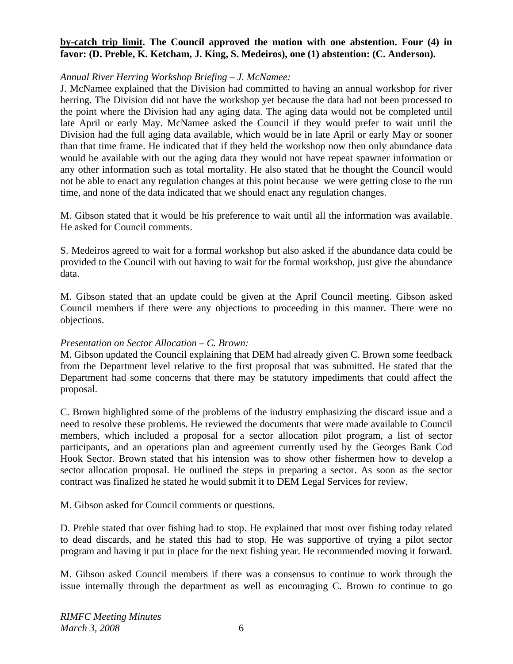## **by-catch trip limit. The Council approved the motion with one abstention. Four (4) in**  favor: (D. Preble, K. Ketcham, J. King, S. Medeiros), one (1) abstention: (C. Anderson).

## *Annual River Herring Workshop Briefing – J. McNamee:*

J. McNamee explained that the Division had committed to having an annual workshop for river herring. The Division did not have the workshop yet because the data had not been processed to the point where the Division had any aging data. The aging data would not be completed until late April or early May. McNamee asked the Council if they would prefer to wait until the Division had the full aging data available, which would be in late April or early May or sooner than that time frame. He indicated that if they held the workshop now then only abundance data would be available with out the aging data they would not have repeat spawner information or any other information such as total mortality. He also stated that he thought the Council would not be able to enact any regulation changes at this point because we were getting close to the run time, and none of the data indicated that we should enact any regulation changes.

M. Gibson stated that it would be his preference to wait until all the information was available. He asked for Council comments.

S. Medeiros agreed to wait for a formal workshop but also asked if the abundance data could be provided to the Council with out having to wait for the formal workshop, just give the abundance data.

M. Gibson stated that an update could be given at the April Council meeting. Gibson asked Council members if there were any objections to proceeding in this manner. There were no objections.

#### *Presentation on Sector Allocation – C. Brown:*

M. Gibson updated the Council explaining that DEM had already given C. Brown some feedback from the Department level relative to the first proposal that was submitted. He stated that the Department had some concerns that there may be statutory impediments that could affect the proposal.

C. Brown highlighted some of the problems of the industry emphasizing the discard issue and a need to resolve these problems. He reviewed the documents that were made available to Council members, which included a proposal for a sector allocation pilot program, a list of sector participants, and an operations plan and agreement currently used by the Georges Bank Cod Hook Sector. Brown stated that his intension was to show other fishermen how to develop a sector allocation proposal. He outlined the steps in preparing a sector. As soon as the sector contract was finalized he stated he would submit it to DEM Legal Services for review.

M. Gibson asked for Council comments or questions.

D. Preble stated that over fishing had to stop. He explained that most over fishing today related to dead discards, and he stated this had to stop. He was supportive of trying a pilot sector program and having it put in place for the next fishing year. He recommended moving it forward.

M. Gibson asked Council members if there was a consensus to continue to work through the issue internally through the department as well as encouraging C. Brown to continue to go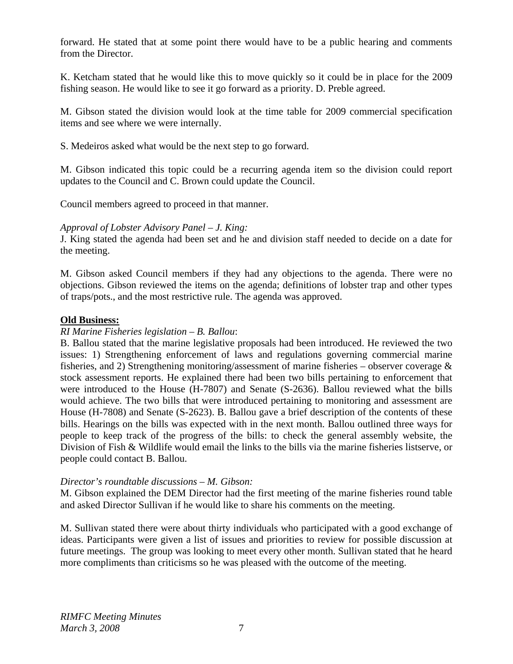forward. He stated that at some point there would have to be a public hearing and comments from the Director.

K. Ketcham stated that he would like this to move quickly so it could be in place for the 2009 fishing season. He would like to see it go forward as a priority. D. Preble agreed.

M. Gibson stated the division would look at the time table for 2009 commercial specification items and see where we were internally.

S. Medeiros asked what would be the next step to go forward.

M. Gibson indicated this topic could be a recurring agenda item so the division could report updates to the Council and C. Brown could update the Council.

Council members agreed to proceed in that manner.

## *Approval of Lobster Advisory Panel – J. King:*

J. King stated the agenda had been set and he and division staff needed to decide on a date for the meeting.

M. Gibson asked Council members if they had any objections to the agenda. There were no objections. Gibson reviewed the items on the agenda; definitions of lobster trap and other types of traps/pots., and the most restrictive rule. The agenda was approved.

## **Old Business:**

## *RI Marine Fisheries legislation – B. Ballou*:

B. Ballou stated that the marine legislative proposals had been introduced. He reviewed the two issues: 1) Strengthening enforcement of laws and regulations governing commercial marine fisheries, and 2) Strengthening monitoring/assessment of marine fisheries – observer coverage  $\&$ stock assessment reports. He explained there had been two bills pertaining to enforcement that were introduced to the House (H-7807) and Senate (S-2636). Ballou reviewed what the bills would achieve. The two bills that were introduced pertaining to monitoring and assessment are House (H-7808) and Senate (S-2623). B. Ballou gave a brief description of the contents of these bills. Hearings on the bills was expected with in the next month. Ballou outlined three ways for people to keep track of the progress of the bills: to check the general assembly website, the Division of Fish & Wildlife would email the links to the bills via the marine fisheries listserve, or people could contact B. Ballou.

#### *Director's roundtable discussions – M. Gibson:*

M. Gibson explained the DEM Director had the first meeting of the marine fisheries round table and asked Director Sullivan if he would like to share his comments on the meeting.

M. Sullivan stated there were about thirty individuals who participated with a good exchange of ideas. Participants were given a list of issues and priorities to review for possible discussion at future meetings. The group was looking to meet every other month. Sullivan stated that he heard more compliments than criticisms so he was pleased with the outcome of the meeting.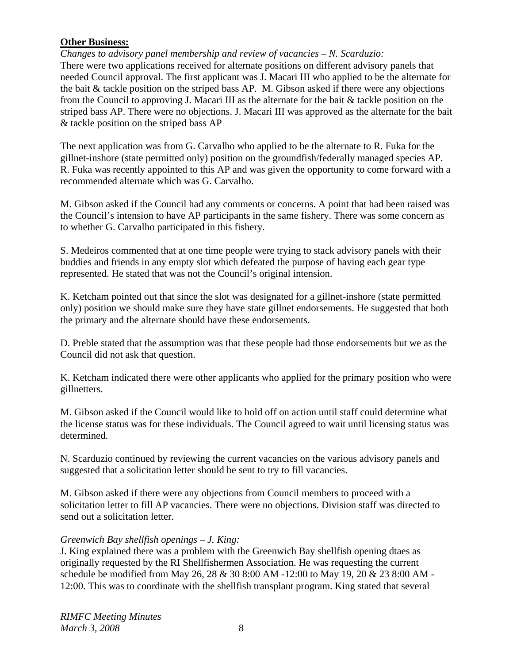# **Other Business:**

*Changes to advisory panel membership and review of vacancies – N. Scarduzio:*  There were two applications received for alternate positions on different advisory panels that needed Council approval. The first applicant was J. Macari III who applied to be the alternate for the bait & tackle position on the striped bass AP. M. Gibson asked if there were any objections from the Council to approving J. Macari III as the alternate for the bait & tackle position on the striped bass AP. There were no objections. J. Macari III was approved as the alternate for the bait & tackle position on the striped bass AP

The next application was from G. Carvalho who applied to be the alternate to R. Fuka for the gillnet-inshore (state permitted only) position on the groundfish/federally managed species AP. R. Fuka was recently appointed to this AP and was given the opportunity to come forward with a recommended alternate which was G. Carvalho.

M. Gibson asked if the Council had any comments or concerns. A point that had been raised was the Council's intension to have AP participants in the same fishery. There was some concern as to whether G. Carvalho participated in this fishery.

S. Medeiros commented that at one time people were trying to stack advisory panels with their buddies and friends in any empty slot which defeated the purpose of having each gear type represented. He stated that was not the Council's original intension.

K. Ketcham pointed out that since the slot was designated for a gillnet-inshore (state permitted only) position we should make sure they have state gillnet endorsements. He suggested that both the primary and the alternate should have these endorsements.

D. Preble stated that the assumption was that these people had those endorsements but we as the Council did not ask that question.

K. Ketcham indicated there were other applicants who applied for the primary position who were gillnetters.

M. Gibson asked if the Council would like to hold off on action until staff could determine what the license status was for these individuals. The Council agreed to wait until licensing status was determined.

N. Scarduzio continued by reviewing the current vacancies on the various advisory panels and suggested that a solicitation letter should be sent to try to fill vacancies.

M. Gibson asked if there were any objections from Council members to proceed with a solicitation letter to fill AP vacancies. There were no objections. Division staff was directed to send out a solicitation letter.

#### *Greenwich Bay shellfish openings – J. King:*

J. King explained there was a problem with the Greenwich Bay shellfish opening dtaes as originally requested by the RI Shellfishermen Association. He was requesting the current schedule be modified from May 26, 28 & 30 8:00 AM -12:00 to May 19, 20 & 23 8:00 AM - 12:00. This was to coordinate with the shellfish transplant program. King stated that several